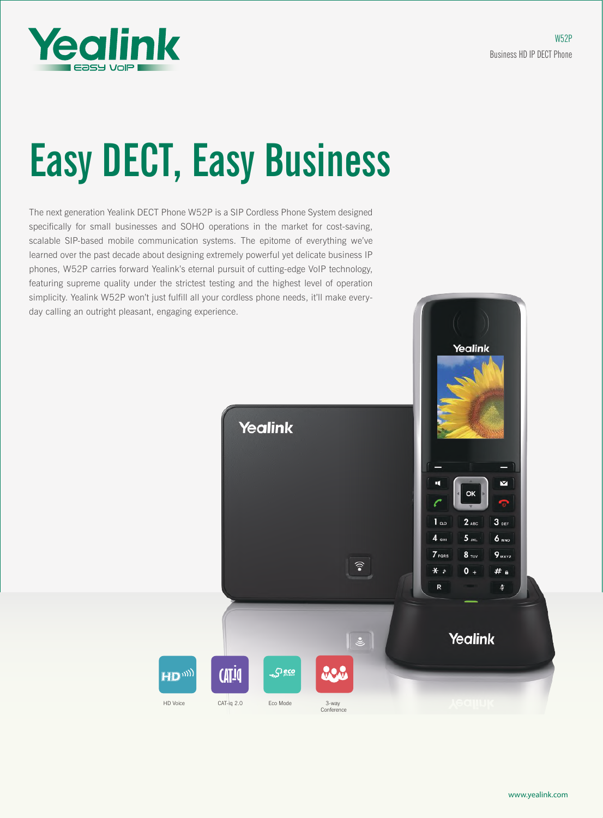

# Easy DECT, Easy Business

The next generation Yealink DECT Phone W52P is a SIP Cordless Phone System designed specifically for small businesses and SOHO operations in the market for cost-saving, scalable SIP-based mobile communication systems. The epitome of everything we've learned over the past decade about designing extremely powerful yet delicate business IP phones, W52P carries forward Yealink's eternal pursuit of cutting-edge VoIP technology, featuring supreme quality under the strictest testing and the highest level of operation simplicity. Yealink W52P won't just fulfill all your cordless phone needs, it'll make everyday calling an outright pleasant, engaging experience.